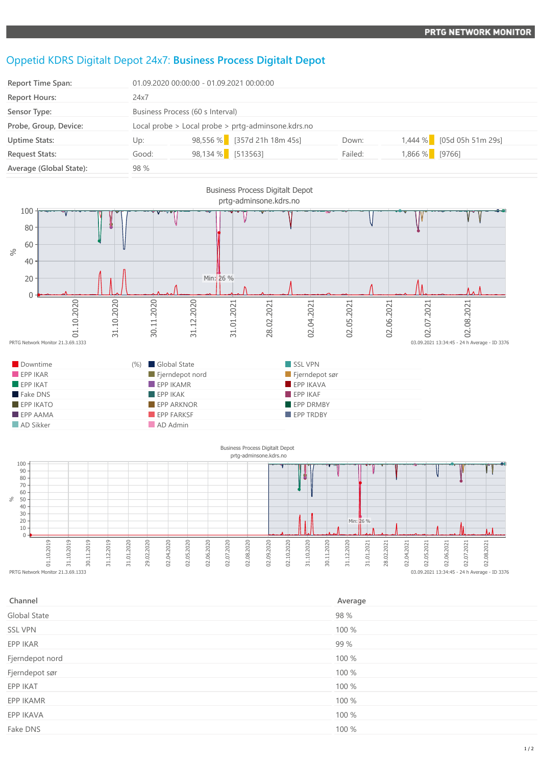## Oppetid KDRS Digitalt Depot 24x7: **Business Process Digitalt Depot**

| <b>Report Time Span:</b> | 01.09.2020 00:00:00 - 01.09.2021 00:00:00          |                   |                             |         |                |                           |
|--------------------------|----------------------------------------------------|-------------------|-----------------------------|---------|----------------|---------------------------|
| <b>Report Hours:</b>     | 24x7                                               |                   |                             |         |                |                           |
| Sensor Type:             | Business Process (60 s Interval)                   |                   |                             |         |                |                           |
| Probe, Group, Device:    | Local probe > Local probe > prtg-adminsone.kdrs.no |                   |                             |         |                |                           |
| <b>Uptime Stats:</b>     | Up:                                                |                   | 98,556 % [357d 21h 18m 45s] | Down:   |                | 1,444 % [05d 05h 51m 29s] |
| <b>Request Stats:</b>    | Good:                                              | 98,134 % [513563] |                             | Failed: | 1,866 % [9766] |                           |
| Average (Global State):  | 98 %                                               |                   |                             |         |                |                           |



02.02019<br>
01.02.02019<br>
PRTG Network Monitor 21.3.69.1333 31.10.2019 30.11.2019 31.12.2019 31.01.2020 29.02.2020 02.04.2020 02.05.2020 02.06.2020 02.07.2020 02.08.2020 02.09.2020 02.10.2020 31.10.2020 30.11.2020 31.12.2020 31.01.2021 28.02.2021 02.04.2021 02.05.2021 02.06.2021 03.09.2021 13:34:45 - 24 h Average - ID 3376

| Channel         | Average |
|-----------------|---------|
| Global State    | 98 %    |
| <b>SSL VPN</b>  | 100 %   |
| EPP IKAR        | 99 %    |
| Fjerndepot nord | 100 %   |
| Fjerndepot sør  | 100 %   |
| EPP IKAT        | 100 %   |
| EPP IKAMR       | 100 %   |
| EPP IKAVA       | 100 %   |
| Fake DNS        | 100 %   |
|                 |         |